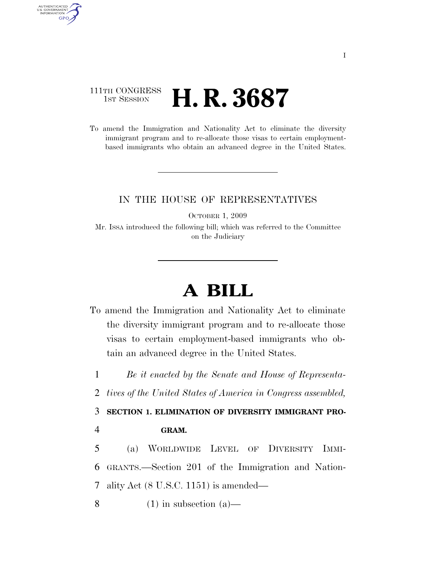## 111TH CONGRESS **1st Session H. R. 3687**

AUTHENTICATED<br>U.S. GOVERNMENT<br>INFORMATION GPO

> To amend the Immigration and Nationality Act to eliminate the diversity immigrant program and to re-allocate those visas to certain employmentbased immigrants who obtain an advanced degree in the United States.

## IN THE HOUSE OF REPRESENTATIVES

OCTOBER 1, 2009

Mr. ISSA introduced the following bill; which was referred to the Committee on the Judiciary

## **A BILL**

To amend the Immigration and Nationality Act to eliminate the diversity immigrant program and to re-allocate those visas to certain employment-based immigrants who obtain an advanced degree in the United States.

1 *Be it enacted by the Senate and House of Representa-*

2 *tives of the United States of America in Congress assembled,* 

3 **SECTION 1. ELIMINATION OF DIVERSITY IMMIGRANT PRO-**

4 **GRAM.** 

5 (a) WORLDWIDE LEVEL OF DIVERSITY IMMI-6 GRANTS.—Section 201 of the Immigration and Nation-7 ality Act (8 U.S.C. 1151) is amended—

8 (1) in subsection (a)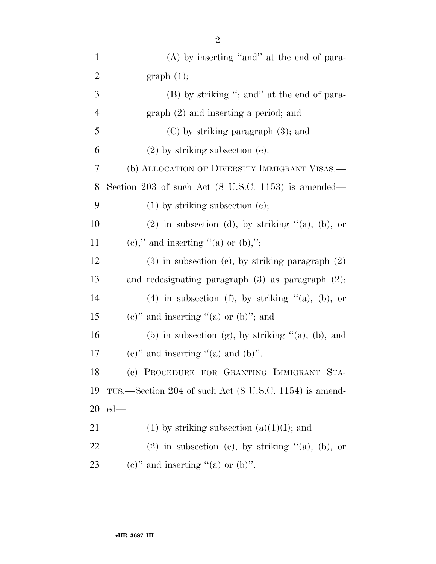| $\mathbf{1}$   | $(A)$ by inserting "and" at the end of para-                   |
|----------------|----------------------------------------------------------------|
| $\overline{2}$ | graph(1);                                                      |
| 3              | (B) by striking "; and" at the end of para-                    |
| $\overline{4}$ | $graph (2)$ and inserting a period; and                        |
| 5              | $(C)$ by striking paragraph $(3)$ ; and                        |
| 6              | $(2)$ by striking subsection $(e)$ .                           |
| 7              | (b) ALLOCATION OF DIVERSITY IMMIGRANT VISAS.—                  |
| 8              | Section 203 of such Act $(8 \text{ U.S.C. } 1153)$ is amended— |
| 9              | $(1)$ by striking subsection $(e)$ ;                           |
| 10             | $(2)$ in subsection (d), by striking " $(a)$ , $(b)$ , or      |
| 11             | $(e)$ ," and inserting "(a) or (b),";                          |
| 12             | $(3)$ in subsection (e), by striking paragraph $(2)$           |
| 13             | and redesignating paragraph $(3)$ as paragraph $(2)$ ;         |
| 14             | $(4)$ in subsection (f), by striking " $(a)$ , $(b)$ , or      |
| 15             | $(e)$ " and inserting "(a) or (b)"; and                        |
| 16             | $(5)$ in subsection (g), by striking " $(a)$ , $(b)$ , and     |
| 17             | (e)" and inserting "(a) and (b)".                              |
| 18             | (c) PROCEDURE FOR GRANTING IMMIGRANT STA-                      |
| 19             | TUS.—Section 204 of such Act (8 U.S.C. 1154) is amend-         |
| 20             | $ed$ —                                                         |
| 21             | $(1)$ by striking subsection $(a)(1)(I)$ ; and                 |
| 22             | $(2)$ in subsection (e), by striking " $(a)$ , $(b)$ , or      |
| 23             | (e)" and inserting "(a) or (b)".                               |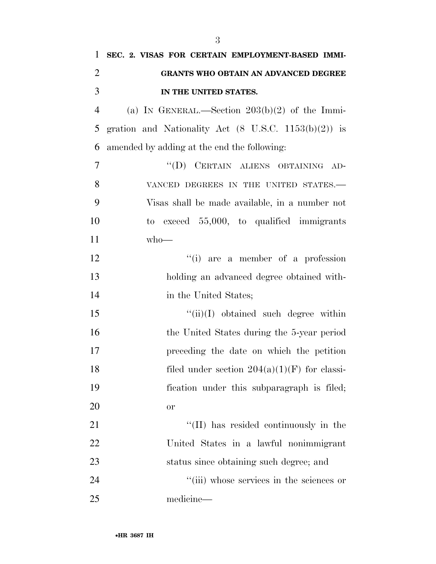| 1              | SEC. 2. VISAS FOR CERTAIN EMPLOYMENT-BASED IMMI-                |
|----------------|-----------------------------------------------------------------|
| $\overline{2}$ | <b>GRANTS WHO OBTAIN AN ADVANCED DEGREE</b>                     |
| 3              | IN THE UNITED STATES.                                           |
| $\overline{4}$ | (a) IN GENERAL.—Section $203(b)(2)$ of the Immi-                |
| 5              | gration and Nationality Act $(8 \text{ U.S.C. } 1153(b)(2))$ is |
| 6              | amended by adding at the end the following:                     |
| $\overline{7}$ | "(D) CERTAIN ALIENS OBTAINING AD-                               |
| 8              | VANCED DEGREES IN THE UNITED STATES.-                           |
| 9              | Visas shall be made available, in a number not                  |
| 10             | to exceed $55,000$ , to qualified immigrants                    |
| 11             | $who$ —                                                         |
| 12             | "(i) are a member of a profession                               |
| 13             | holding an advanced degree obtained with-                       |
| 14             | in the United States;                                           |
| 15             | $\lq\lq$ (ii)(I) obtained such degree within                    |
| 16             | the United States during the 5-year period                      |
| 17             | preceding the date on which the petition                        |
| 18             | filed under section $204(a)(1)(F)$ for classi-                  |
| 19             | fication under this subparagraph is filed;                      |
| 20             | <b>or</b>                                                       |
| 21             | "(II) has resided continuously in the                           |
| 22             | United States in a lawful nonimmigrant                          |
| 23             | status since obtaining such degree; and                         |
| 24             | "(iii) whose services in the sciences or                        |
| 25             | medicine-                                                       |